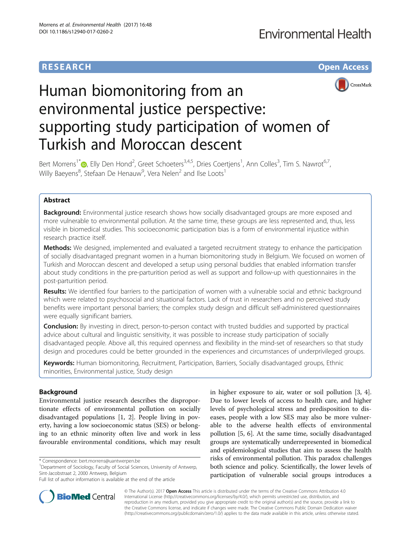## **RESEARCH CHE Open Access**



# Human biomonitoring from an environmental justice perspective: supporting study participation of women of Turkish and Moroccan descent

Bert Morrens<sup>1[\\*](http://orcid.org/0000-0002-1097-8382)</sup>©, Elly Den Hond<sup>2</sup>, Greet Schoeters<sup>3,4,5</sup>, Dries Coertjens<sup>1</sup>, Ann Colles<sup>3</sup>, Tim S. Nawrot<sup>6,7</sup>, Willy Baeyens $^8$ , Stefaan De Henauw $^9$ , Vera Nelen $^2$  and Ilse Loots $^1$ 

## Abstract

**Background:** Environmental justice research shows how socially disadvantaged groups are more exposed and more vulnerable to environmental pollution. At the same time, these groups are less represented and, thus, less visible in biomedical studies. This socioeconomic participation bias is a form of environmental injustice within research practice itself.

Methods: We designed, implemented and evaluated a targeted recruitment strategy to enhance the participation of socially disadvantaged pregnant women in a human biomonitoring study in Belgium. We focused on women of Turkish and Moroccan descent and developed a setup using personal buddies that enabled information transfer about study conditions in the pre-parturition period as well as support and follow-up with questionnaires in the post-parturition period.

Results: We identified four barriers to the participation of women with a vulnerable social and ethnic background which were related to psychosocial and situational factors. Lack of trust in researchers and no perceived study benefits were important personal barriers; the complex study design and difficult self-administered questionnaires were equally significant barriers.

**Conclusion:** By investing in direct, person-to-person contact with trusted buddies and supported by practical advice about cultural and linguistic sensitivity, it was possible to increase study participation of socially disadvantaged people. Above all, this required openness and flexibility in the mind-set of researchers so that study design and procedures could be better grounded in the experiences and circumstances of underprivileged groups.

Keywords: Human biomonitoring, Recruitment, Participation, Barriers, Socially disadvantaged groups, Ethnic minorities, Environmental justice, Study design

## Background

Environmental justice research describes the disproportionate effects of environmental pollution on socially disadvantaged populations [\[1](#page-7-0), [2\]](#page-7-0). People living in poverty, having a low socioeconomic status (SES) or belonging to an ethnic minority often live and work in less favourable environmental conditions, which may result in higher exposure to air, water or soil pollution [\[3](#page-7-0), [4](#page-7-0)]. Due to lower levels of access to health care, and higher levels of psychological stress and predisposition to diseases, people with a low SES may also be more vulnerable to the adverse health effects of environmental pollution [[5, 6](#page-7-0)]. At the same time, socially disadvantaged groups are systematically underrepresented in biomedical and epidemiological studies that aim to assess the health risks of environmental pollution. This paradox challenges both science and policy. Scientifically, the lower levels of participation of vulnerable social groups introduces a



© The Author(s). 2017 **Open Access** This article is distributed under the terms of the Creative Commons Attribution 4.0 International License [\(http://creativecommons.org/licenses/by/4.0/](http://creativecommons.org/licenses/by/4.0/)), which permits unrestricted use, distribution, and reproduction in any medium, provided you give appropriate credit to the original author(s) and the source, provide a link to the Creative Commons license, and indicate if changes were made. The Creative Commons Public Domain Dedication waiver [\(http://creativecommons.org/publicdomain/zero/1.0/](http://creativecommons.org/publicdomain/zero/1.0/)) applies to the data made available in this article, unless otherwise stated.

<sup>\*</sup> Correspondence: [bert.morrens@uantwerpen.be](mailto:bert.morrens@uantwerpen.be) <sup>1</sup>

Department of Sociology, Faculty of Social Sciences, University of Antwerp, Sint-Jacobstraat 2, 2000 Antwerp, Belgium

Full list of author information is available at the end of the article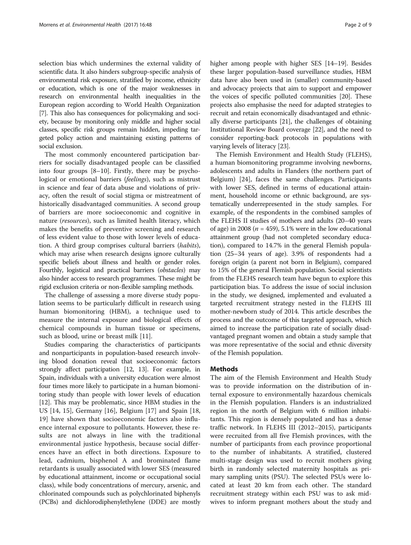selection bias which undermines the external validity of scientific data. It also hinders subgroup-specific analysis of environmental risk exposure, stratified by income, ethnicity or education, which is one of the major weaknesses in research on environmental health inequalities in the European region according to World Health Organization [[7](#page-7-0)]. This also has consequences for policymaking and society, because by monitoring only middle and higher social classes, specific risk groups remain hidden, impeding targeted policy action and maintaining existing patterns of social exclusion.

The most commonly encountered participation barriers for socially disadvantaged people can be classified into four groups [[8](#page-7-0)–[10](#page-8-0)]. Firstly, there may be psychological or emotional barriers (feelings), such as mistrust in science and fear of data abuse and violations of privacy, often the result of social stigma or mistreatment of historically disadvantaged communities. A second group of barriers are more socioeconomic and cognitive in nature (resources), such as limited health literacy, which makes the benefits of preventive screening and research of less evident value to those with lower levels of education. A third group comprises cultural barriers (habits), which may arise when research designs ignore culturally specific beliefs about illness and health or gender roles. Fourthly, logistical and practical barriers (obstacles) may also hinder access to research programmes. These might be rigid exclusion criteria or non-flexible sampling methods.

The challenge of assessing a more diverse study population seems to be particularly difficult in research using human biomonitoring (HBM), a technique used to measure the internal exposure and biological effects of chemical compounds in human tissue or specimens, such as blood, urine or breast milk [[11\]](#page-8-0).

Studies comparing the characteristics of participants and nonparticipants in population-based research involving blood donation reveal that socioeconomic factors strongly affect participation [[12](#page-8-0), [13](#page-8-0)]. For example, in Spain, individuals with a university education were almost four times more likely to participate in a human biomonitoring study than people with lower levels of education [[12](#page-8-0)]. This may be problematic, since HBM studies in the US [[14](#page-8-0), [15](#page-8-0)], Germany [[16\]](#page-8-0), Belgium [[17\]](#page-8-0) and Spain [\[18](#page-8-0), [19\]](#page-8-0) have shown that socioeconomic factors also influence internal exposure to pollutants. However, these results are not always in line with the traditional environmental justice hypothesis, because social differences have an effect in both directions. Exposure to lead, cadmium, bisphenol A and brominated flame retardants is usually associated with lower SES (measured by educational attainment, income or occupational social class), while body concentrations of mercury, arsenic, and chlorinated compounds such as polychlorinated biphenyls (PCBs) and dichlorodiphenylethylene (DDE) are mostly higher among people with higher SES [\[14](#page-8-0)–[19](#page-8-0)]. Besides these larger population-based surveillance studies, HBM data have also been used in (smaller) community-based and advocacy projects that aim to support and empower the voices of specific polluted communities [\[20\]](#page-8-0). These projects also emphasise the need for adapted strategies to recruit and retain economically disadvantaged and ethnically diverse participants [\[21\]](#page-8-0), the challenges of obtaining Institutional Review Board coverage [\[22\]](#page-8-0), and the need to consider reporting-back protocols in populations with varying levels of literacy [[23](#page-8-0)].

The Flemish Environment and Health Study (FLEHS), a human biomonitoring programme involving newborns, adolescents and adults in Flanders (the northern part of Belgium) [\[24\]](#page-8-0), faces the same challenges. Participants with lower SES, defined in terms of educational attainment, household income or ethnic background, are systematically underrepresented in the study samples. For example, of the respondents in the combined samples of the FLEHS II studies of mothers and adults (20–40 years of age) in 2008 ( $n = 459$ ), 5.1% were in the low educational attainment group (had not completed secondary education), compared to 14.7% in the general Flemish population (25–34 years of age). 3.9% of respondents had a foreign origin (a parent not born in Belgium), compared to 15% of the general Flemish population. Social scientists from the FLEHS research team have begun to explore this participation bias. To address the issue of social inclusion in the study, we designed, implemented and evaluated a targeted recruitment strategy nested in the FLEHS III mother-newborn study of 2014. This article describes the process and the outcome of this targeted approach, which aimed to increase the participation rate of socially disadvantaged pregnant women and obtain a study sample that was more representative of the social and ethnic diversity of the Flemish population.

## Methods

The aim of the Flemish Environment and Health Study was to provide information on the distribution of internal exposure to environmentally hazardous chemicals in the Flemish population. Flanders is an industrialized region in the north of Belgium with 6 million inhabitants. This region is densely populated and has a dense traffic network. In FLEHS III (2012–2015), participants were recruited from all five Flemish provinces, with the number of participants from each province proportional to the number of inhabitants. A stratified, clustered multi-stage design was used to recruit mothers giving birth in randomly selected maternity hospitals as primary sampling units (PSU). The selected PSUs were located at least 20 km from each other. The standard recruitment strategy within each PSU was to ask midwives to inform pregnant mothers about the study and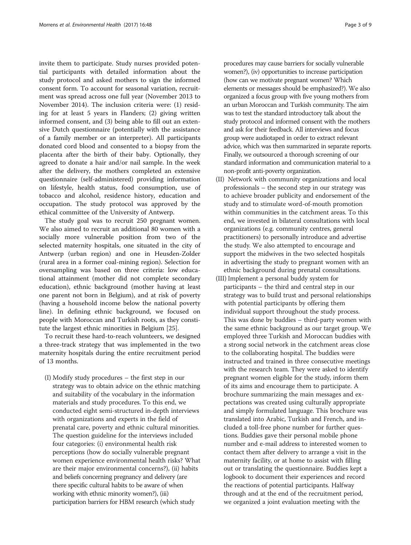invite them to participate. Study nurses provided potential participants with detailed information about the study protocol and asked mothers to sign the informed consent form. To account for seasonal variation, recruitment was spread across one full year (November 2013 to November 2014). The inclusion criteria were: (1) residing for at least 5 years in Flanders; (2) giving written informed consent, and (3) being able to fill out an extensive Dutch questionnaire (potentially with the assistance of a family member or an interpreter). All participants donated cord blood and consented to a biopsy from the placenta after the birth of their baby. Optionally, they agreed to donate a hair and/or nail sample. In the week after the delivery, the mothers completed an extensive questionnaire (self-administered) providing information on lifestyle, health status, food consumption, use of tobacco and alcohol, residence history, education and occupation. The study protocol was approved by the ethical committee of the University of Antwerp.

The study goal was to recruit 250 pregnant women. We also aimed to recruit an additional 80 women with a socially more vulnerable position from two of the selected maternity hospitals, one situated in the city of Antwerp (urban region) and one in Heusden-Zolder (rural area in a former coal-mining region). Selection for oversampling was based on three criteria: low educational attainment (mother did not complete secondary education), ethnic background (mother having at least one parent not born in Belgium), and at risk of poverty (having a household income below the national poverty line). In defining ethnic background, we focused on people with Moroccan and Turkish roots, as they constitute the largest ethnic minorities in Belgium [\[25](#page-8-0)].

To recruit these hard-to-reach volunteers, we designed a three-track strategy that was implemented in the two maternity hospitals during the entire recruitment period of 13 months.

(I) Modify study procedures – the first step in our strategy was to obtain advice on the ethnic matching and suitability of the vocabulary in the information materials and study procedures. To this end, we conducted eight semi-structured in-depth interviews with organizations and experts in the field of prenatal care, poverty and ethnic cultural minorities. The question guideline for the interviews included four categories: (i) environmental health risk perceptions (how do socially vulnerable pregnant women experience environmental health risks? What are their major environmental concerns?), (ii) habits and beliefs concerning pregnancy and delivery (are there specific cultural habits to be aware of when working with ethnic minority women?), (iii) participation barriers for HBM research (which study

procedures may cause barriers for socially vulnerable women?), (iv) opportunities to increase participation (how can we motivate pregnant women? Which elements or messages should be emphasized?). We also organized a focus group with five young mothers from an urban Moroccan and Turkish community. The aim was to test the standard introductory talk about the study protocol and informed consent with the mothers and ask for their feedback. All interviews and focus group were audiotaped in order to extract relevant

- advice, which was then summarized in separate reports. Finally, we outsourced a thorough screening of our standard information and communication material to a non-profit anti-poverty organization.
- (II) Network with community organizations and local professionals – the second step in our strategy was to achieve broader publicity and endorsement of the study and to stimulate word-of-mouth promotion within communities in the catchment areas. To this end, we invested in bilateral consultations with local organizations (e.g. community centres, general practitioners) to personally introduce and advertise the study. We also attempted to encourage and support the midwives in the two selected hospitals in advertising the study to pregnant women with an ethnic background during prenatal consultations.
- (III) Implement a personal buddy system for participants – the third and central step in our strategy was to build trust and personal relationships with potential participants by offering them individual support throughout the study process. This was done by buddies – third-party women with the same ethnic background as our target group. We employed three Turkish and Moroccan buddies with a strong social network in the catchment areas close to the collaborating hospital. The buddies were instructed and trained in three consecutive meetings with the research team. They were asked to identify pregnant women eligible for the study, inform them of its aims and encourage them to participate. A brochure summarizing the main messages and expectations was created using culturally appropriate and simply formulated language. This brochure was translated into Arabic, Turkish and French, and included a toll-free phone number for further questions. Buddies gave their personal mobile phone number and e-mail address to interested women to contact them after delivery to arrange a visit in the maternity facility, or at home to assist with filling out or translating the questionnaire. Buddies kept a logbook to document their experiences and record the reactions of potential participants. Halfway through and at the end of the recruitment period, we organized a joint evaluation meeting with the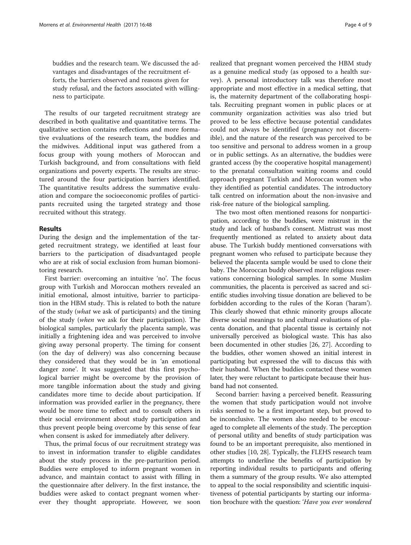buddies and the research team. We discussed the advantages and disadvantages of the recruitment efforts, the barriers observed and reasons given for study refusal, and the factors associated with willingness to participate.

The results of our targeted recruitment strategy are described in both qualitative and quantitative terms. The qualitative section contains reflections and more formative evaluations of the research team, the buddies and the midwives. Additional input was gathered from a focus group with young mothers of Moroccan and Turkish background, and from consultations with field organizations and poverty experts. The results are structured around the four participation barriers identified. The quantitative results address the summative evaluation and compare the socioeconomic profiles of participants recruited using the targeted strategy and those recruited without this strategy.

## Results

During the design and the implementation of the targeted recruitment strategy, we identified at least four barriers to the participation of disadvantaged people who are at risk of social exclusion from human biomonitoring research.

First barrier: overcoming an intuitive 'no'. The focus group with Turkish and Moroccan mothers revealed an initial emotional, almost intuitive, barrier to participation in the HBM study. This is related to both the nature of the study (what we ask of participants) and the timing of the study (when we ask for their participation). The biological samples, particularly the placenta sample, was initially a frightening idea and was perceived to involve giving away personal property. The timing for consent (on the day of delivery) was also concerning because they considered that they would be in 'an emotional danger zone'. It was suggested that this first psychological barrier might be overcome by the provision of more tangible information about the study and giving candidates more time to decide about participation. If information was provided earlier in the pregnancy, there would be more time to reflect and to consult others in their social environment about study participation and thus prevent people being overcome by this sense of fear when consent is asked for immediately after delivery.

Thus, the primal focus of our recruitment strategy was to invest in information transfer to eligible candidates about the study process in the pre-parturition period. Buddies were employed to inform pregnant women in advance, and maintain contact to assist with filling in the questionnaire after delivery. In the first instance, the buddies were asked to contact pregnant women wherever they thought appropriate. However, we soon realized that pregnant women perceived the HBM study as a genuine medical study (as opposed to a health survey). A personal introductory talk was therefore most appropriate and most effective in a medical setting, that is, the maternity department of the collaborating hospitals. Recruiting pregnant women in public places or at community organization activities was also tried but proved to be less effective because potential candidates could not always be identified (pregnancy not discernible), and the nature of the research was perceived to be too sensitive and personal to address women in a group or in public settings. As an alternative, the buddies were granted access (by the cooperative hospital management) to the prenatal consultation waiting rooms and could approach pregnant Turkish and Moroccan women who they identified as potential candidates. The introductory talk centred on information about the non-invasive and risk-free nature of the biological sampling.

The two most often mentioned reasons for nonparticipation, according to the buddies, were mistrust in the study and lack of husband's consent. Mistrust was most frequently mentioned as related to anxiety about data abuse. The Turkish buddy mentioned conversations with pregnant women who refused to participate because they believed the placenta sample would be used to clone their baby. The Moroccan buddy observed more religious reservations concerning biological samples. In some Muslim communities, the placenta is perceived as sacred and scientific studies involving tissue donation are believed to be forbidden according to the rules of the Koran ('haram'). This clearly showed that ethnic minority groups allocate diverse social meanings to and cultural evaluations of placenta donation, and that placental tissue is certainly not universally perceived as biological waste. This has also been documented in other studies [[26](#page-8-0), [27](#page-8-0)]. According to the buddies, other women showed an initial interest in participating but expressed the will to discuss this with their husband. When the buddies contacted these women later, they were reluctant to participate because their husband had not consented.

Second barrier: having a perceived benefit. Reassuring the women that study participation would not involve risks seemed to be a first important step, but proved to be inconclusive. The women also needed to be encouraged to complete all elements of the study. The perception of personal utility and benefits of study participation was found to be an important prerequisite, also mentioned in other studies [\[10](#page-8-0), [28\]](#page-8-0). Typically, the FLEHS research team attempts to underline the benefits of participation by reporting individual results to participants and offering them a summary of the group results. We also attempted to appeal to the social responsibility and scientific inquisitiveness of potential participants by starting our information brochure with the question: 'Have you ever wondered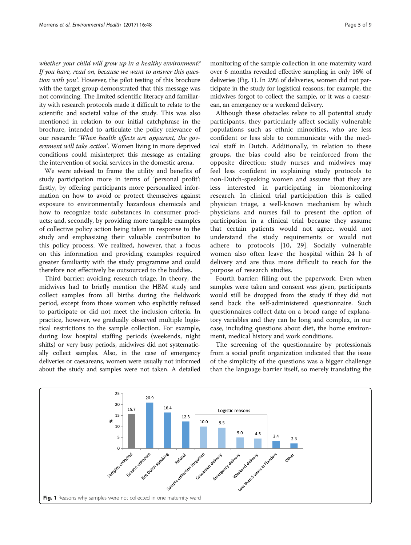whether your child will grow up in a healthy environment? If you have, read on, because we want to answer this question with you'. However, the pilot testing of this brochure with the target group demonstrated that this message was not convincing. The limited scientific literacy and familiarity with research protocols made it difficult to relate to the scientific and societal value of the study. This was also mentioned in relation to our initial catchphrase in the brochure, intended to articulate the policy relevance of our research: 'When health effects are apparent, the government will take action'. Women living in more deprived conditions could misinterpret this message as entailing the intervention of social services in the domestic arena.

We were advised to frame the utility and benefits of study participation more in terms of 'personal profit': firstly, by offering participants more personalized information on how to avoid or protect themselves against exposure to environmentally hazardous chemicals and how to recognize toxic substances in consumer products; and, secondly, by providing more tangible examples of collective policy action being taken in response to the study and emphasizing their valuable contribution to this policy process. We realized, however, that a focus on this information and providing examples required greater familiarity with the study programme and could therefore not effectively be outsourced to the buddies.

Third barrier: avoiding research triage. In theory, the midwives had to briefly mention the HBM study and collect samples from all births during the fieldwork period, except from those women who explicitly refused to participate or did not meet the inclusion criteria. In practice, however, we gradually observed multiple logistical restrictions to the sample collection. For example, during low hospital staffing periods (weekends, night shifts) or very busy periods, midwives did not systematically collect samples. Also, in the case of emergency deliveries or caesareans, women were usually not informed about the study and samples were not taken. A detailed monitoring of the sample collection in one maternity ward over 6 months revealed effective sampling in only 16% of deliveries (Fig. 1). In 29% of deliveries, women did not participate in the study for logistical reasons; for example, the midwives forgot to collect the sample, or it was a caesarean, an emergency or a weekend delivery.

Although these obstacles relate to all potential study participants, they particularly affect socially vulnerable populations such as ethnic minorities, who are less confident or less able to communicate with the medical staff in Dutch. Additionally, in relation to these groups, the bias could also be reinforced from the opposite direction: study nurses and midwives may feel less confident in explaining study protocols to non-Dutch-speaking women and assume that they are less interested in participating in biomonitoring research. In clinical trial participation this is called physician triage, a well-known mechanism by which physicians and nurses fail to present the option of participation in a clinical trial because they assume that certain patients would not agree, would not understand the study requirements or would not adhere to protocols [[10, 29\]](#page-8-0). Socially vulnerable women also often leave the hospital within 24 h of delivery and are thus more difficult to reach for the purpose of research studies.

Fourth barrier: filling out the paperwork. Even when samples were taken and consent was given, participants would still be dropped from the study if they did not send back the self-administered questionnaire. Such questionnaires collect data on a broad range of explanatory variables and they can be long and complex, in our case, including questions about diet, the home environment, medical history and work conditions.

The screening of the questionnaire by professionals from a social profit organization indicated that the issue of the simplicity of the questions was a bigger challenge than the language barrier itself, so merely translating the

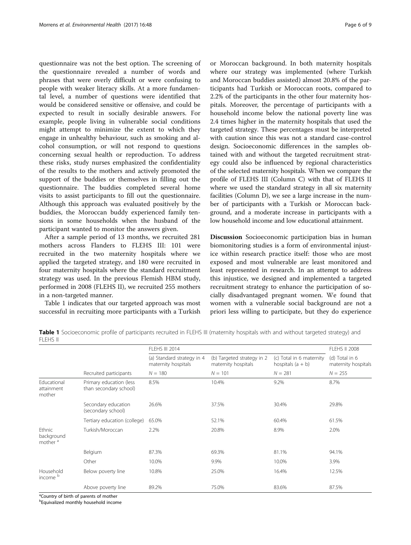questionnaire was not the best option. The screening of the questionnaire revealed a number of words and phrases that were overly difficult or were confusing to people with weaker literacy skills. At a more fundamental level, a number of questions were identified that would be considered sensitive or offensive, and could be expected to result in socially desirable answers. For example, people living in vulnerable social conditions might attempt to minimize the extent to which they engage in unhealthy behaviour, such as smoking and alcohol consumption, or will not respond to questions concerning sexual health or reproduction. To address these risks, study nurses emphasized the confidentiality of the results to the mothers and actively promoted the support of the buddies or themselves in filling out the questionnaire. The buddies completed several home visits to assist participants to fill out the questionnaire. Although this approach was evaluated positively by the buddies, the Moroccan buddy experienced family tensions in some households when the husband of the participant wanted to monitor the answers given.

After a sample period of 13 months, we recruited 281 mothers across Flanders to FLEHS III: 101 were recruited in the two maternity hospitals where we applied the targeted strategy, and 180 were recruited in four maternity hospitals where the standard recruitment strategy was used. In the previous Flemish HBM study, performed in 2008 (FLEHS II), we recruited 255 mothers in a non-targeted manner.

Table 1 indicates that our targeted approach was most successful in recruiting more participants with a Turkish or Moroccan background. In both maternity hospitals where our strategy was implemented (where Turkish and Moroccan buddies assisted) almost 20.8% of the participants had Turkish or Moroccan roots, compared to 2.2% of the participants in the other four maternity hospitals. Moreover, the percentage of participants with a household income below the national poverty line was 2.4 times higher in the maternity hospitals that used the targeted strategy. These percentages must be interpreted with caution since this was not a standard case-control design. Socioeconomic differences in the samples obtained with and without the targeted recruitment strategy could also be influenced by regional characteristics of the selected maternity hospitals. When we compare the profile of FLEHS III (Column C) with that of FLEHS II where we used the standard strategy in all six maternity facilities (Column D), we see a large increase in the number of participants with a Turkish or Moroccan background, and a moderate increase in participants with a low household income and low educational attainment.

Discussion Socioeconomic participation bias in human biomonitoring studies is a form of environmental injustice within research practice itself: those who are most exposed and most vulnerable are least monitored and least represented in research. In an attempt to address this injustice, we designed and implemented a targeted recruitment strategy to enhance the participation of socially disadvantaged pregnant women. We found that women with a vulnerable social background are not a priori less willing to participate, but they do experience

Table 1 Socioeconomic profile of participants recruited in FLEHS III (maternity hospitals with and without targeted strategy) and FLEHS II

|                                             | <b>FLEHS III 2014</b>                             |                                                                |                                                                |                                                              | <b>FLEHS II 2008</b>                               |
|---------------------------------------------|---------------------------------------------------|----------------------------------------------------------------|----------------------------------------------------------------|--------------------------------------------------------------|----------------------------------------------------|
|                                             | Recruited participants                            | (a) Standard strategy in 4<br>maternity hospitals<br>$N = 180$ | (b) Targeted strategy in 2<br>maternity hospitals<br>$N = 101$ | (c) Total in 6 maternity<br>hospitals $(a + b)$<br>$N = 281$ | (d) Total in 6<br>maternity hospitals<br>$N = 255$ |
|                                             |                                                   |                                                                |                                                                |                                                              |                                                    |
| Educational<br>attainment<br>mother         | Primary education (less<br>than secondary school) | 8.5%                                                           | 10.4%                                                          | 9.2%                                                         | 8.7%                                               |
|                                             | Secondary education<br>(secondary school)         | 26.6%                                                          | 37.5%                                                          | 30.4%                                                        | 29.8%                                              |
|                                             | Tertiary education (college)                      | 65.0%                                                          | 52.1%                                                          | 60.4%                                                        | 61.5%                                              |
| Ethnic<br>background<br>mother <sup>a</sup> | Turkish/Moroccan                                  | 2.2%                                                           | 20.8%                                                          | 8.9%                                                         | 2.0%                                               |
|                                             | Belgium                                           | 87.3%                                                          | 69.3%                                                          | 81.1%                                                        | 94.1%                                              |
|                                             | Other                                             | 10.0%                                                          | 9.9%                                                           | 10.0%                                                        | 3.9%                                               |
| Household<br>income <sup>b</sup>            | Below poverty line                                | 10.8%                                                          | 25.0%                                                          | 16.4%                                                        | 12.5%                                              |
|                                             | Above poverty line                                | 89.2%                                                          | 75.0%                                                          | 83.6%                                                        | 87.5%                                              |

<sup>a</sup>Country of birth of parents of mother

b Equivalized monthly household income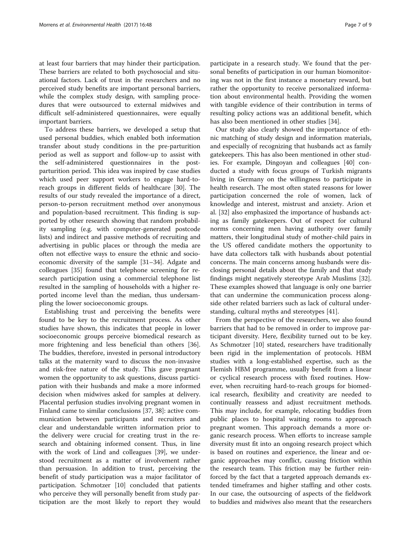at least four barriers that may hinder their participation. These barriers are related to both psychosocial and situational factors. Lack of trust in the researchers and no perceived study benefits are important personal barriers, while the complex study design, with sampling procedures that were outsourced to external midwives and difficult self-administered questionnaires, were equally important barriers.

To address these barriers, we developed a setup that used personal buddies, which enabled both information transfer about study conditions in the pre-parturition period as well as support and follow-up to assist with the self-administered questionnaires in the postparturition period. This idea was inspired by case studies which used peer support workers to engage hard-toreach groups in different fields of healthcare [[30\]](#page-8-0). The results of our study revealed the importance of a direct, person-to-person recruitment method over anonymous and population-based recruitment. This finding is supported by other research showing that random probability sampling (e.g. with computer-generated postcode lists) and indirect and passive methods of recruiting and advertising in public places or through the media are often not effective ways to ensure the ethnic and socioeconomic diversity of the sample [\[31](#page-8-0)–[34](#page-8-0)]. Adgate and colleagues [\[35](#page-8-0)] found that telephone screening for research participation using a commercial telephone list resulted in the sampling of households with a higher reported income level than the median, thus undersampling the lower socioeconomic groups.

Establishing trust and perceiving the benefits were found to be key to the recruitment process. As other studies have shown, this indicates that people in lower socioeconomic groups perceive biomedical research as more frightening and less beneficial than others [\[36](#page-8-0)]. The buddies, therefore, invested in personal introductory talks at the maternity ward to discuss the non-invasive and risk-free nature of the study. This gave pregnant women the opportunity to ask questions, discuss participation with their husbands and make a more informed decision when midwives asked for samples at delivery. Placental perfusion studies involving pregnant women in Finland came to similar conclusions [\[37, 38\]](#page-8-0): active communication between participants and recruiters and clear and understandable written information prior to the delivery were crucial for creating trust in the research and obtaining informed consent. Thus, in line with the work of Lind and colleagues [\[39](#page-8-0)], we understood recruitment as a matter of involvement rather than persuasion. In addition to trust, perceiving the benefit of study participation was a major facilitator of participation. Schmotzer [\[10](#page-8-0)] concluded that patients who perceive they will personally benefit from study participation are the most likely to report they would

participate in a research study. We found that the personal benefits of participation in our human biomonitoring was not in the first instance a monetary reward, but rather the opportunity to receive personalized information about environmental health. Providing the women with tangible evidence of their contribution in terms of resulting policy actions was an additional benefit, which has also been mentioned in other studies [\[34\]](#page-8-0).

Our study also clearly showed the importance of ethnic matching of study design and information materials, and especially of recognizing that husbands act as family gatekeepers. This has also been mentioned in other studies. For example, Dingoyan and colleagues [\[40](#page-8-0)] conducted a study with focus groups of Turkish migrants living in Germany on the willingness to participate in health research. The most often stated reasons for lower participation concerned the role of women, lack of knowledge and interest, mistrust and anxiety. Arion et al. [[32\]](#page-8-0) also emphasized the importance of husbands acting as family gatekeepers. Out of respect for cultural norms concerning men having authority over family matters, their longitudinal study of mother-child pairs in the US offered candidate mothers the opportunity to have data collectors talk with husbands about potential concerns. The main concerns among husbands were disclosing personal details about the family and that study findings might negatively stereotype Arab Muslims [\[32](#page-8-0)]. These examples showed that language is only one barrier that can undermine the communication process alongside other related barriers such as lack of cultural understanding, cultural myths and stereotypes [\[41](#page-8-0)].

From the perspective of the researchers, we also found barriers that had to be removed in order to improve participant diversity. Here, flexibility turned out to be key. As Schmotzer [\[10\]](#page-8-0) stated, researchers have traditionally been rigid in the implementation of protocols. HBM studies with a long-established expertise, such as the Flemish HBM programme, usually benefit from a linear or cyclical research process with fixed routines. However, when recruiting hard-to-reach groups for biomedical research, flexibility and creativity are needed to continually reassess and adjust recruitment methods. This may include, for example, relocating buddies from public places to hospital waiting rooms to approach pregnant women. This approach demands a more organic research process. When efforts to increase sample diversity must fit into an ongoing research project which is based on routines and experience, the linear and organic approaches may conflict, causing friction within the research team. This friction may be further reinforced by the fact that a targeted approach demands extended timeframes and higher staffing and other costs. In our case, the outsourcing of aspects of the fieldwork to buddies and midwives also meant that the researchers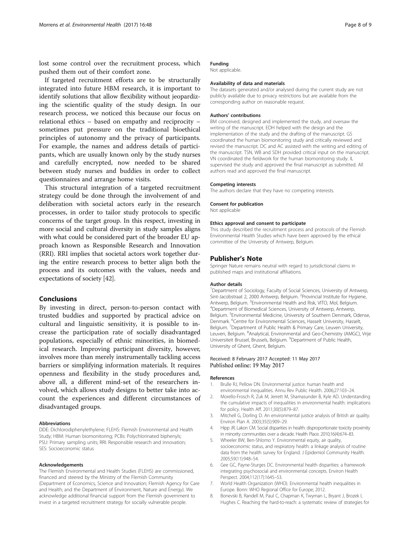<span id="page-7-0"></span>lost some control over the recruitment process, which pushed them out of their comfort zone.

If targeted recruitment efforts are to be structurally integrated into future HBM research, it is important to identify solutions that allow flexibility without jeopardizing the scientific quality of the study design. In our research process, we noticed this because our focus on relational ethics – based on empathy and reciprocity – sometimes put pressure on the traditional bioethical principles of autonomy and the privacy of participants. For example, the names and address details of participants, which are usually known only by the study nurses and carefully encrypted, now needed to be shared between study nurses and buddies in order to collect questionnaires and arrange home visits.

This structural integration of a targeted recruitment strategy could be done through the involvement of and deliberation with societal actors early in the research processes, in order to tailor study protocols to specific concerns of the target group. In this respect, investing in more social and cultural diversity in study samples aligns with what could be considered part of the broader EU approach known as Responsible Research and Innovation (RRI). RRI implies that societal actors work together during the entire research process to better align both the process and its outcomes with the values, needs and expectations of society [[42](#page-8-0)].

## Conclusions

By investing in direct, person-to-person contact with trusted buddies and supported by practical advice on cultural and linguistic sensitivity, it is possible to increase the participation rate of socially disadvantaged populations, especially of ethnic minorities, in biomedical research. Improving participant diversity, however, involves more than merely instrumentally tackling access barriers or simplifying information materials. It requires openness and flexibility in the study procedures and, above all, a different mind-set of the researchers involved, which allows study designs to better take into account the experiences and different circumstances of disadvantaged groups.

#### Abbreviations

DDE: Dichlorodiphenylethylene; FLEHS: Flemish Environmental and Health Study; HBM: Human biomonitoring; PCBs: Polychlorinated biphenyls; PSU: Primary sampling units; RRI: Responsible research and innovation; SES: Socioeconomic status

#### Acknowledgements

The Flemish Environmental and Health Studies (FLEHS) are commissioned, financed and steered by the Ministry of the Flemish Community (Department of Economics, Science and Innovation; Flemish Agency for Care and Health; and the Department of Environment, Nature and Energy). We acknowledge additional financial support from the Flemish government to invest in a targeted recruitment strategy for socially vulnerable people.

### Funding

Not applicable.

#### Availability of data and materials

The datasets generated and/or analysed during the current study are not publicly available due to privacy restrictions but are available from the corresponding author on reasonable request.

#### Authors' contributions

BM conceived, designed and implemented the study, and oversaw the writing of the manuscript. EDH helped with the design and the implementation of the study and the drafting of the manuscript. GS coordinated the human biomonitoring study and critically reviewed and revised the manuscript. DC and AC assisted with the writing and editing of the manuscript. TSN, WB and SDH provided critical input on the manuscript. VN coordinated the fieldwork for the human biomonitoring study. IL supervised the study and approved the final manuscript as submitted. All authors read and approved the final manuscript.

#### Competing interests

The authors declare that they have no competing interests.

#### Consent for publication

Not applicable

#### Ethics approval and consent to participate

This study described the recruitment process and protocols of the Flemish Environmental Health Studies which have been approved by the ethical committee of the University of Antwerp, Belgium.

#### Publisher's Note

Springer Nature remains neutral with regard to jurisdictional claims in published maps and institutional affiliations.

#### Author details

<sup>1</sup>Department of Sociology, Faculty of Social Sciences, University of Antwerp, Sint-Jacobstraat 2, 2000 Antwerp, Belgium. <sup>2</sup> Provincial Institute for Hygiene Antwerp, Belgium. <sup>3</sup> Environmental Health and Risk, VITO, Mol, Belgium.<br><sup>4</sup> Department of Biomodical Sciences, University of Antwerp, Antwerp. <sup>4</sup>Department of Biomedical Sciences, University of Antwerp, Antwerp, Belgium. <sup>5</sup>Environmental Medicine, University of Southern Denmark, Odense Denmark. <sup>6</sup>Centre for Environmental Sciences, Hasselt University, Hasselt, Belgium. <sup>7</sup> Department of Public Health & Primary Care, Leuven University, Leuven, Belgium. <sup>8</sup>Analytical, Environmental and Geo-Chemistry (AMGC), Vrije Universiteit Brussel, Brussels, Belgium. <sup>9</sup>Department of Public Health University of Ghent, Ghent, Belgium.

#### Received: 8 February 2017 Accepted: 11 May 2017 Published online: 19 May 2017

#### References

- 1. Brulle RJ, Pellow DN. Environmental justice: human health and environmental inequalities. Annu Rev Public Health. 2006;27:103–24.
- 2. Morello-Frosch R, Zuk M, Jerrett M, Shamasunder B, Kyle AD. Understanding the cumulative impacts of inequalities in environmental health: implications for policy. Health Aff. 2011;30(5):879–87.
- 3. Mitchell G, Dorling D. An environmental justice analysis of British air quality. Environ Plan A. 2003;35(5):909–29.
- 4. Hipp JR, Lakon CM. Social disparities in health: disproportionate toxicity proximity in minority communities over a decade. Health Place. 2010;16(4):674–83.
- 5. Wheeler BW, Ben-Shlomo Y. Environmental equity, air quality, socioeconomic status, and respiratory health: a linkage analysis of routine data from the health survey for England. J Epidemiol Community Health. 2005;59(11):948–54.
- 6. Gee GC, Payne-Sturges DC. Environmental health disparities: a framework integrating psychosocial and environmental concepts. Environ Health Perspect. 2004;112(17):1645–53.
- 7. World Health Organization (WHO). Environmental health inequalities in Europe. Bonn: WHO Regional Office for Europe; 2012.
- 8. Bonevski B, Randell M, Paul C, Chapman K, Twyman L, Bryant J, Brozek I, Hughes C. Reaching the hard-to-reach: a systematic review of strategies for